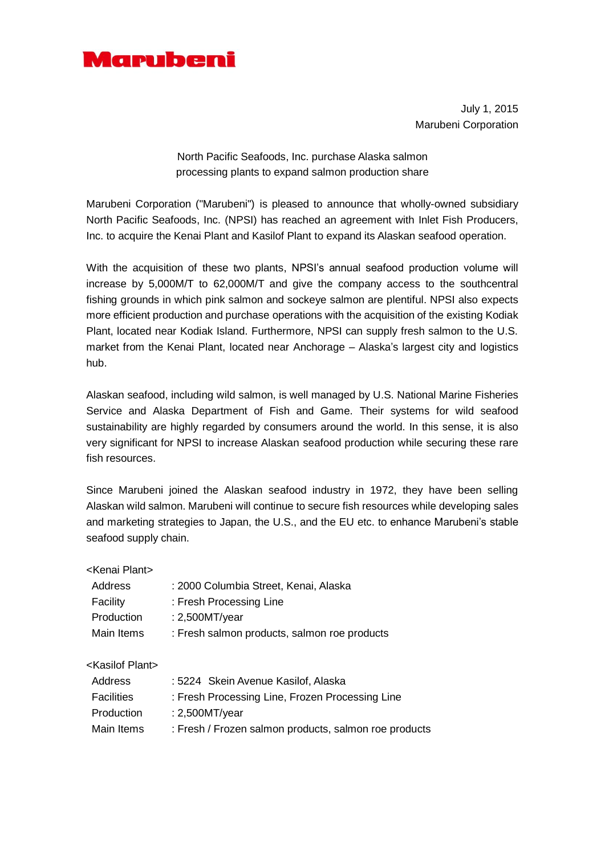

July 1, 2015 Marubeni Corporation

North Pacific Seafoods, Inc. purchase Alaska salmon processing plants to expand salmon production share

Marubeni Corporation ("Marubeni") is pleased to announce that wholly-owned subsidiary North Pacific Seafoods, Inc. (NPSI) has reached an agreement with Inlet Fish Producers, Inc. to acquire the Kenai Plant and Kasilof Plant to expand its Alaskan seafood operation.

With the acquisition of these two plants, NPSI's annual seafood production volume will increase by 5,000M/T to 62,000M/T and give the company access to the southcentral fishing grounds in which pink salmon and sockeye salmon are plentiful. NPSI also expects more efficient production and purchase operations with the acquisition of the existing Kodiak Plant, located near Kodiak Island. Furthermore, NPSI can supply fresh salmon to the U.S. market from the Kenai Plant, located near Anchorage – Alaska's largest city and logistics hub.

Alaskan seafood, including wild salmon, is well managed by U.S. National Marine Fisheries Service and Alaska Department of Fish and Game. Their systems for wild seafood sustainability are highly regarded by consumers around the world. In this sense, it is also very significant for NPSI to increase Alaskan seafood production while securing these rare fish resources.

Since Marubeni joined the Alaskan seafood industry in 1972, they have been selling Alaskan wild salmon. Marubeni will continue to secure fish resources while developing sales and marketing strategies to Japan, the U.S., and the EU etc. to enhance Marubeni's stable seafood supply chain.

| <kenai plant=""></kenai>     |                                                       |
|------------------------------|-------------------------------------------------------|
| Address                      | : 2000 Columbia Street, Kenai, Alaska                 |
| Facility                     | : Fresh Processing Line                               |
| Production                   | $: 2,500$ MT/year                                     |
| Main Items                   | : Fresh salmon products, salmon roe products          |
|                              |                                                       |
| <kasilof plant=""></kasilof> |                                                       |
| Address                      | : 5224 Skein Avenue Kasilof, Alaska                   |
| <b>Facilities</b>            | : Fresh Processing Line, Frozen Processing Line       |
| Production                   | $: 2,500$ MT/year                                     |
| Main Items                   | : Fresh / Frozen salmon products, salmon roe products |
|                              |                                                       |